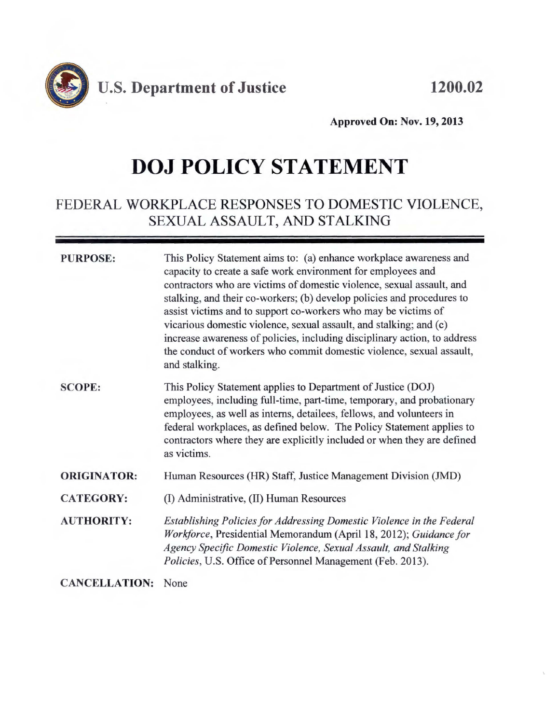

**Approved On: Nov. 19, 2013** 

## **DOJ POLICY STATEMENT**

## FEDERAL WORKPLACE RESPONSES TO DOMESTIC VIOLENCE, SEXUAL ASSAULT, AND STALKING

#### **PURPOSE:**

This Policy Statement aims to: (a) enhance workplace awareness and capacity to create a safe work environment for employees and contractors who are victims of domestic violence, sexual assault, and stalking, and their co-workers; (b) develop policies and procedures to assist victims and to support co-workers who may be victims of vicarious domestic violence, sexual assault, and stalking; and ( c) increase awareness of policies, including disciplinary action, to address the conduct of workers who commit domestic violence, sexual assault, and stalking.

- **SCOPE:**  This Policy Statement applies to Department of Justice (DOJ) employees, including full-time, part-time, temporary, and probationary employees, as well as interns, detailees, fellows, and volunteers in federal workplaces, as defined below. The Policy Statement applies to contractors where they are explicitly included or when they are defined as victims.
- **ORIGINATOR:**  Human Resources (HR) Staff, Justice Management Division (JMD)
- **CATEGORY:**  (I) Administrative, (II) Human Resources
- **AUTHORITY:**  *Establishing Policies for Addressing Domestic Violence in the Federal Workforce, Presidential Memorandum (April 18, 2012); Guidance for Agency Specific Domestic Violence, Sexual Assault, and Stalking Policies,* U.S. Office of Personnel Management (Feb. 2013).

**CANCELLATION:** None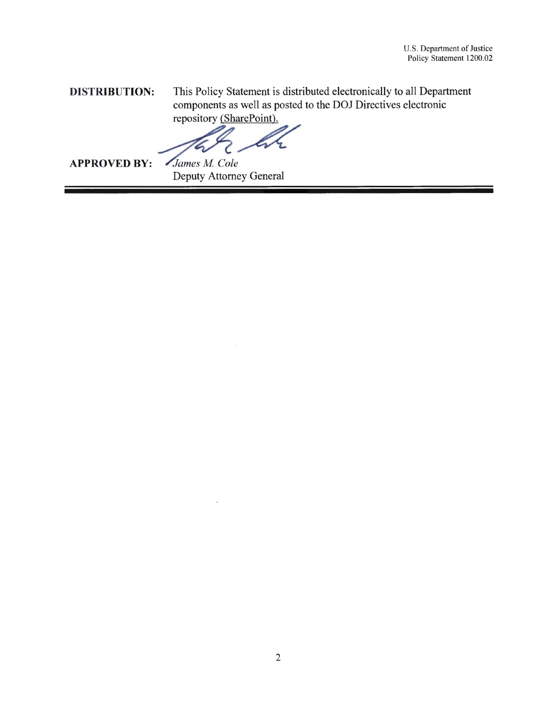**DISTRIBUTION:** This Policy Statement is distributed electronically to all Department componen[ts as well as po](https://portal.doj.gov/dm/Pages/Directives.aspx)sted to the DOJ Directives electronic repository (SharePoint).

arePoint).<br>A<br>ey General

**APPROVED BY:** James M. Cole

Deputy Attorney General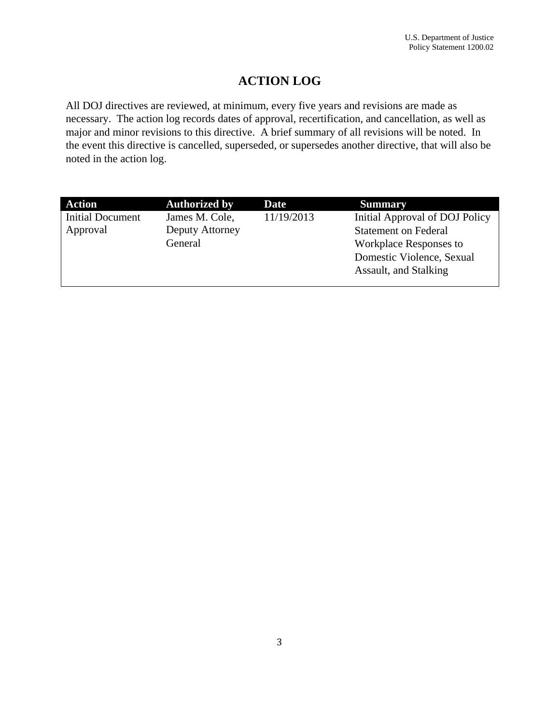### **ACTION LOG**

 noted in the action log. All DOJ directives are reviewed, at minimum, every five years and revisions are made as necessary. The action log records dates of approval, recertification, and cancellation, as well as major and minor revisions to this directive. A brief summary of all revisions will be noted. In the event this directive is cancelled, superseded, or supersedes another directive, that will also be

| <b>Action</b>           | <b>Authorized by</b> | Date       | <b>Summary</b>                 |
|-------------------------|----------------------|------------|--------------------------------|
| <b>Initial Document</b> | James M. Cole,       | 11/19/2013 | Initial Approval of DOJ Policy |
| Approval                | Deputy Attorney      |            | <b>Statement on Federal</b>    |
|                         | General              |            | <b>Workplace Responses to</b>  |
|                         |                      |            | Domestic Violence, Sexual      |
|                         |                      |            | Assault, and Stalking          |
|                         |                      |            |                                |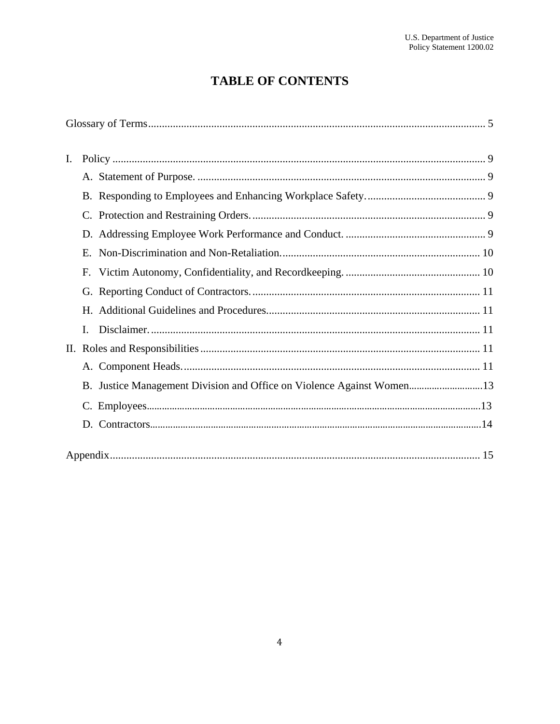## **TABLE OF CONTENTS**

| I. |                                                                       |  |
|----|-----------------------------------------------------------------------|--|
|    |                                                                       |  |
|    |                                                                       |  |
|    |                                                                       |  |
|    |                                                                       |  |
|    |                                                                       |  |
|    |                                                                       |  |
|    |                                                                       |  |
|    |                                                                       |  |
|    | I.                                                                    |  |
|    |                                                                       |  |
|    |                                                                       |  |
|    | B. Justice Management Division and Office on Violence Against Women13 |  |
|    |                                                                       |  |
|    |                                                                       |  |
|    |                                                                       |  |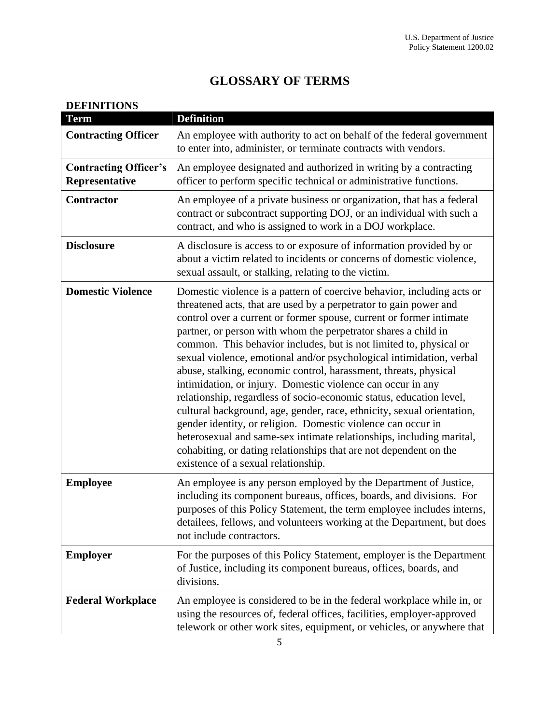## **GLOSSARY OF TERMS**

<span id="page-4-0"></span>

| <b>DEFINITIONS</b><br><b>Term</b>              | <b>Definition</b>                                                                                                                                                                                                                                                                                                                                                                                                                                                                                                                                                                                                                                                                                                                                                                                                                                                                                                                                                          |
|------------------------------------------------|----------------------------------------------------------------------------------------------------------------------------------------------------------------------------------------------------------------------------------------------------------------------------------------------------------------------------------------------------------------------------------------------------------------------------------------------------------------------------------------------------------------------------------------------------------------------------------------------------------------------------------------------------------------------------------------------------------------------------------------------------------------------------------------------------------------------------------------------------------------------------------------------------------------------------------------------------------------------------|
| <b>Contracting Officer</b>                     | An employee with authority to act on behalf of the federal government<br>to enter into, administer, or terminate contracts with vendors.                                                                                                                                                                                                                                                                                                                                                                                                                                                                                                                                                                                                                                                                                                                                                                                                                                   |
| <b>Contracting Officer's</b><br>Representative | An employee designated and authorized in writing by a contracting<br>officer to perform specific technical or administrative functions.                                                                                                                                                                                                                                                                                                                                                                                                                                                                                                                                                                                                                                                                                                                                                                                                                                    |
| Contractor                                     | An employee of a private business or organization, that has a federal<br>contract or subcontract supporting DOJ, or an individual with such a<br>contract, and who is assigned to work in a DOJ workplace.                                                                                                                                                                                                                                                                                                                                                                                                                                                                                                                                                                                                                                                                                                                                                                 |
| <b>Disclosure</b>                              | A disclosure is access to or exposure of information provided by or<br>about a victim related to incidents or concerns of domestic violence,<br>sexual assault, or stalking, relating to the victim.                                                                                                                                                                                                                                                                                                                                                                                                                                                                                                                                                                                                                                                                                                                                                                       |
| <b>Domestic Violence</b>                       | Domestic violence is a pattern of coercive behavior, including acts or<br>threatened acts, that are used by a perpetrator to gain power and<br>control over a current or former spouse, current or former intimate<br>partner, or person with whom the perpetrator shares a child in<br>common. This behavior includes, but is not limited to, physical or<br>sexual violence, emotional and/or psychological intimidation, verbal<br>abuse, stalking, economic control, harassment, threats, physical<br>intimidation, or injury. Domestic violence can occur in any<br>relationship, regardless of socio-economic status, education level,<br>cultural background, age, gender, race, ethnicity, sexual orientation,<br>gender identity, or religion. Domestic violence can occur in<br>heterosexual and same-sex intimate relationships, including marital,<br>cohabiting, or dating relationships that are not dependent on the<br>existence of a sexual relationship. |
| <b>Employee</b>                                | An employee is any person employed by the Department of Justice,<br>including its component bureaus, offices, boards, and divisions. For<br>purposes of this Policy Statement, the term employee includes interns,<br>detailees, fellows, and volunteers working at the Department, but does<br>not include contractors.                                                                                                                                                                                                                                                                                                                                                                                                                                                                                                                                                                                                                                                   |
| <b>Employer</b>                                | For the purposes of this Policy Statement, employer is the Department<br>of Justice, including its component bureaus, offices, boards, and<br>divisions.                                                                                                                                                                                                                                                                                                                                                                                                                                                                                                                                                                                                                                                                                                                                                                                                                   |
| <b>Federal Workplace</b>                       | An employee is considered to be in the federal workplace while in, or<br>using the resources of, federal offices, facilities, employer-approved<br>telework or other work sites, equipment, or vehicles, or anywhere that                                                                                                                                                                                                                                                                                                                                                                                                                                                                                                                                                                                                                                                                                                                                                  |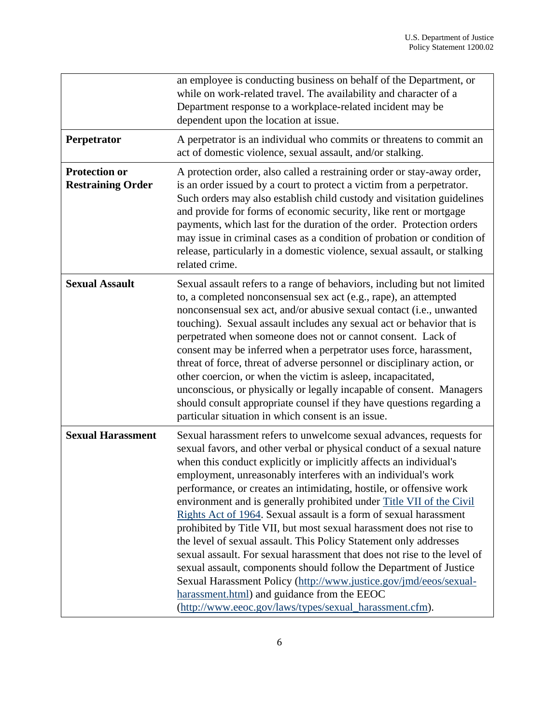|                                                  | Policy Statement 1200.02                                                                                                                                                                                                                                                                                                                                                                                                                                                                                                                                                                                                                                                                                                                                                                                                                                                                                                                                                               |
|--------------------------------------------------|----------------------------------------------------------------------------------------------------------------------------------------------------------------------------------------------------------------------------------------------------------------------------------------------------------------------------------------------------------------------------------------------------------------------------------------------------------------------------------------------------------------------------------------------------------------------------------------------------------------------------------------------------------------------------------------------------------------------------------------------------------------------------------------------------------------------------------------------------------------------------------------------------------------------------------------------------------------------------------------|
|                                                  | an employee is conducting business on behalf of the Department, or<br>while on work-related travel. The availability and character of a<br>Department response to a workplace-related incident may be<br>dependent upon the location at issue.                                                                                                                                                                                                                                                                                                                                                                                                                                                                                                                                                                                                                                                                                                                                         |
| Perpetrator                                      | A perpetrator is an individual who commits or threatens to commit an<br>act of domestic violence, sexual assault, and/or stalking.                                                                                                                                                                                                                                                                                                                                                                                                                                                                                                                                                                                                                                                                                                                                                                                                                                                     |
| <b>Protection or</b><br><b>Restraining Order</b> | A protection order, also called a restraining order or stay-away order,<br>is an order issued by a court to protect a victim from a perpetrator.<br>Such orders may also establish child custody and visitation guidelines<br>and provide for forms of economic security, like rent or mortgage<br>payments, which last for the duration of the order. Protection orders<br>may issue in criminal cases as a condition of probation or condition of<br>release, particularly in a domestic violence, sexual assault, or stalking<br>related crime.                                                                                                                                                                                                                                                                                                                                                                                                                                     |
| <b>Sexual Assault</b>                            | Sexual assault refers to a range of behaviors, including but not limited<br>to, a completed nonconsensual sex act (e.g., rape), an attempted<br>nonconsensual sex act, and/or abusive sexual contact (i.e., unwanted<br>touching). Sexual assault includes any sexual act or behavior that is<br>perpetrated when someone does not or cannot consent. Lack of<br>consent may be inferred when a perpetrator uses force, harassment,<br>threat of force, threat of adverse personnel or disciplinary action, or<br>other coercion, or when the victim is asleep, incapacitated,<br>unconscious, or physically or legally incapable of consent. Managers<br>should consult appropriate counsel if they have questions regarding a<br>particular situation in which consent is an issue.                                                                                                                                                                                                  |
| <b>Sexual Harassment</b>                         | Sexual harassment refers to unwelcome sexual advances, requests for<br>sexual favors, and other verbal or physical conduct of a sexual nature<br>when this conduct explicitly or implicitly affects an individual's<br>employment, unreasonably interferes with an individual's work<br>performance, or creates an intimidating, hostile, or offensive work<br>environment and is generally prohibited under Title VII of the Civil<br>Rights Act of 1964. Sexual assault is a form of sexual harassment<br>prohibited by Title VII, but most sexual harassment does not rise to<br>the level of sexual assault. This Policy Statement only addresses<br>sexual assault. For sexual harassment that does not rise to the level of<br>sexual assault, components should follow the Department of Justice<br>Sexual Harassment Policy (http://www.justice.gov/jmd/eeos/sexual-<br>harassment.html) and guidance from the EEOC<br>(http://www.eeoc.gov/laws/types/sexual_harassment.cfm). |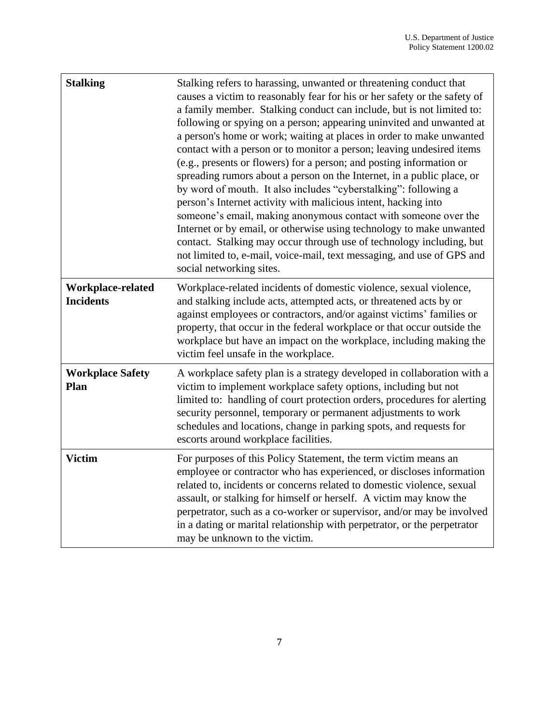| <b>Stalking</b>                       | Stalking refers to harassing, unwanted or threatening conduct that<br>causes a victim to reasonably fear for his or her safety or the safety of<br>a family member. Stalking conduct can include, but is not limited to:<br>following or spying on a person; appearing uninvited and unwanted at<br>a person's home or work; waiting at places in order to make unwanted<br>contact with a person or to monitor a person; leaving undesired items<br>(e.g., presents or flowers) for a person; and posting information or<br>spreading rumors about a person on the Internet, in a public place, or<br>by word of mouth. It also includes "cyberstalking": following a<br>person's Internet activity with malicious intent, hacking into<br>someone's email, making anonymous contact with someone over the<br>Internet or by email, or otherwise using technology to make unwanted<br>contact. Stalking may occur through use of technology including, but<br>not limited to, e-mail, voice-mail, text messaging, and use of GPS and<br>social networking sites. |
|---------------------------------------|-------------------------------------------------------------------------------------------------------------------------------------------------------------------------------------------------------------------------------------------------------------------------------------------------------------------------------------------------------------------------------------------------------------------------------------------------------------------------------------------------------------------------------------------------------------------------------------------------------------------------------------------------------------------------------------------------------------------------------------------------------------------------------------------------------------------------------------------------------------------------------------------------------------------------------------------------------------------------------------------------------------------------------------------------------------------|
| Workplace-related<br><b>Incidents</b> | Workplace-related incidents of domestic violence, sexual violence,<br>and stalking include acts, attempted acts, or threatened acts by or<br>against employees or contractors, and/or against victims' families or<br>property, that occur in the federal workplace or that occur outside the<br>workplace but have an impact on the workplace, including making the<br>victim feel unsafe in the workplace.                                                                                                                                                                                                                                                                                                                                                                                                                                                                                                                                                                                                                                                      |
| <b>Workplace Safety</b><br>Plan       | A workplace safety plan is a strategy developed in collaboration with a<br>victim to implement workplace safety options, including but not<br>limited to: handling of court protection orders, procedures for alerting<br>security personnel, temporary or permanent adjustments to work<br>schedules and locations, change in parking spots, and requests for<br>escorts around workplace facilities.                                                                                                                                                                                                                                                                                                                                                                                                                                                                                                                                                                                                                                                            |
| <b>Victim</b>                         | For purposes of this Policy Statement, the term victim means an<br>employee or contractor who has experienced, or discloses information<br>related to, incidents or concerns related to domestic violence, sexual<br>assault, or stalking for himself or herself. A victim may know the<br>perpetrator, such as a co-worker or supervisor, and/or may be involved<br>in a dating or marital relationship with perpetrator, or the perpetrator<br>may be unknown to the victim.                                                                                                                                                                                                                                                                                                                                                                                                                                                                                                                                                                                    |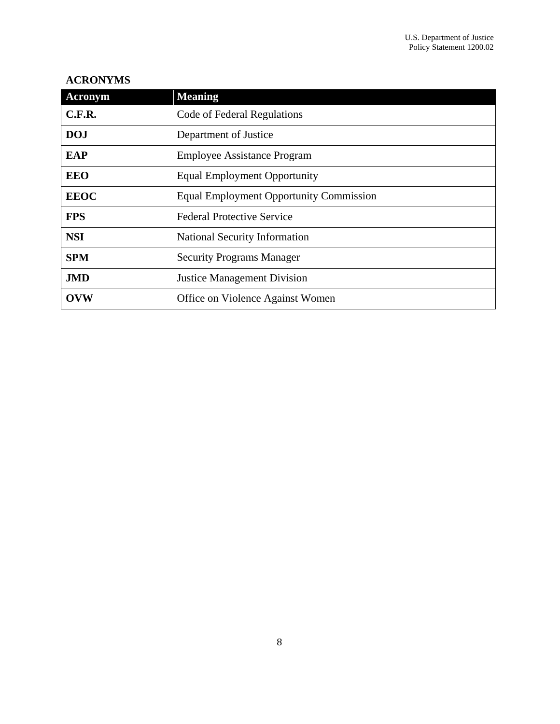#### **ACRONYMS**

| Acronym     | <b>Meaning</b>                                 |  |
|-------------|------------------------------------------------|--|
| C.F.R.      | Code of Federal Regulations                    |  |
| <b>DOJ</b>  | Department of Justice                          |  |
| <b>EAP</b>  | <b>Employee Assistance Program</b>             |  |
| <b>EEO</b>  | <b>Equal Employment Opportunity</b>            |  |
| <b>EEOC</b> | <b>Equal Employment Opportunity Commission</b> |  |
| <b>FPS</b>  | <b>Federal Protective Service</b>              |  |
| <b>NSI</b>  | National Security Information                  |  |
| <b>SPM</b>  | <b>Security Programs Manager</b>               |  |
| <b>JMD</b>  | <b>Justice Management Division</b>             |  |
| <b>OVW</b>  | Office on Violence Against Women               |  |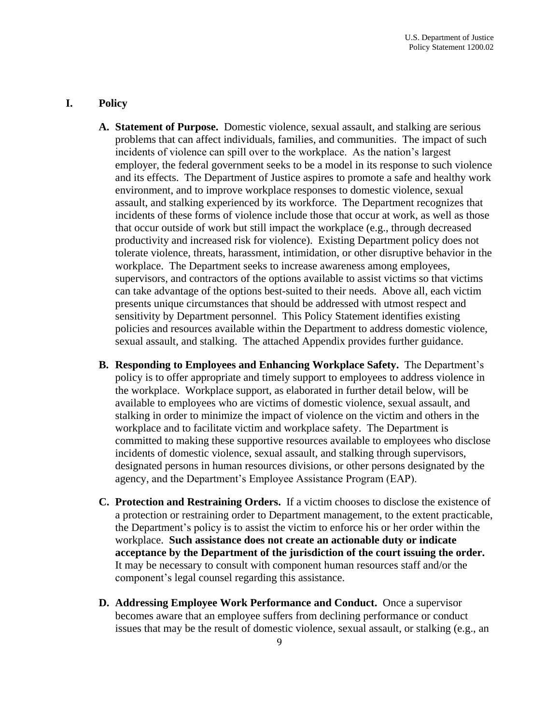#### <span id="page-8-1"></span><span id="page-8-0"></span>**I. Policy**

- **A. Statement of Purpose.** Domestic violence, sexual assault, and stalking are serious employer, the federal government seeks to be a model in its response to such violence that occur outside of work but still impact the workplace (e.g., through decreased tolerate violence, threats, harassment, intimidation, or other disruptive behavior in the  sensitivity by Department personnel. This Policy Statement identifies existing problems that can affect individuals, families, and communities. The impact of such incidents of violence can spill over to the workplace. As the nation's largest and its effects. The Department of Justice aspires to promote a safe and healthy work environment, and to improve workplace responses to domestic violence, sexual assault, and stalking experienced by its workforce. The Department recognizes that incidents of these forms of violence include those that occur at work, as well as those productivity and increased risk for violence). Existing Department policy does not workplace. The Department seeks to increase awareness among employees, supervisors, and contractors of the options available to assist victims so that victims can take advantage of the options best-suited to their needs. Above all, each victim presents unique circumstances that should be addressed with utmost respect and policies and resources available within the Department to address domestic violence, sexual assault, and stalking. The attached Appendix provides further guidance.
- <span id="page-8-2"></span> **B. Responding to Employees and Enhancing Workplace Safety.** The Department's committed to making these supportive resources available to employees who disclose policy is to offer appropriate and timely support to employees to address violence in the workplace. Workplace support, as elaborated in further detail below, will be available to employees who are victims of domestic violence, sexual assault, and stalking in order to minimize the impact of violence on the victim and others in the workplace and to facilitate victim and workplace safety. The Department is incidents of domestic violence, sexual assault, and stalking through supervisors, designated persons in human resources divisions, or other persons designated by the agency, and the Department's Employee Assistance Program (EAP).
- <span id="page-8-3"></span> **C. Protection and Restraining Orders.** If a victim chooses to disclose the existence of **acceptance by the Department of the jurisdiction of the court issuing the order.**  component's legal counsel regarding this assistance. a protection or restraining order to Department management, to the extent practicable, the Department's policy is to assist the victim to enforce his or her order within the workplace. **Such assistance does not create an actionable duty or indicate**  It may be necessary to consult with component human resources staff and/or the
- <span id="page-8-4"></span> **D. Addressing Employee Work Performance and Conduct.** Once a supervisor becomes aware that an employee suffers from declining performance or conduct issues that may be the result of domestic violence, sexual assault, or stalking (e.g., an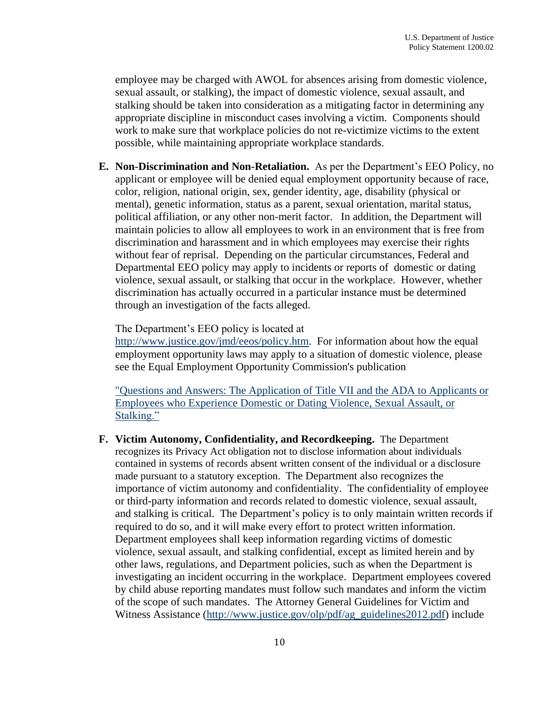appropriate discipline in misconduct cases involving a victim. Components should possible, while maintaining appropriate workplace standards. employee may be charged with AWOL for absences arising from domestic violence, sexual assault, or stalking), the impact of domestic violence, sexual assault, and stalking should be taken into consideration as a mitigating factor in determining any work to make sure that workplace policies do not re-victimize victims to the extent

<span id="page-9-0"></span> **E. Non-Discrimination and Non-Retaliation.** As per the Department's EEO Policy, no Departmental EEO policy may apply to incidents or reports of domestic or dating through an investigation of the facts alleged. The Department's EEO policy is located at applicant or employee will be denied equal employment opportunity because of race, color, religion, national origin, sex, gender identity, age, disability (physical or mental), genetic information, status as a parent, sexual orientation, marital status, political affiliation, or any other non-merit factor. In addition, the Department will maintain policies to allow all employees to work in an environment that is free from discrimination and harassment and in which employees may exercise their rights without fear of reprisal. Depending on the particular circumstances, Federal and violence, sexual assault, or stalking that occur in the workplace. However, whether discrimination has actually occurred in a particular instance must be determined

[http://www.justice.gov/jmd/eeos/policy.htm.](http://www.justice.gov/jmd/eeos/policy.htm) For information about how the equal employment opportunity laws may apply to a situation of domestic violence, please see the Equal Employment Opportunity Commission's publication

["Questions and Answers: The Application of Title VII and the ADA to Applicants or](http://www.eeoc.gov/eeoc/publications/qa_domestic_violence.cfm)  [Employees who Experience Domestic or Dating Violence, Sexual Assault, or](http://www.eeoc.gov/eeoc/publications/qa_domestic_violence.cfm)  [Stalking."](http://www.eeoc.gov/eeoc/publications/qa_domestic_violence.cfm)

<span id="page-9-1"></span> **F. Victim Autonomy, Confidentiality, and Recordkeeping.** The Department made pursuant to a statutory exception. The Department also recognizes the of the scope of such mandates. The Attorney General Guidelines for Victim and recognizes its Privacy Act obligation not to disclose information about individuals contained in systems of records absent written consent of the individual or a disclosure importance of victim autonomy and confidentiality. The confidentiality of employee or third-party information and records related to domestic violence, sexual assault, and stalking is critical. The Department's policy is to only maintain written records if required to do so, and it will make every effort to protect written information. Department employees shall keep information regarding victims of domestic violence, sexual assault, and stalking confidential, except as limited herein and by other laws, regulations, and Department policies, such as when the Department is investigating an incident occurring in the workplace. Department employees covered by child abuse reporting mandates must follow such mandates and inform the victim Witness Assistance [\(http://www.justice.gov/olp/pdf/ag\\_guidelines2012.pdf\)](http://www.justice.gov/olp/pdf/ag_guidelines2012.pdf) include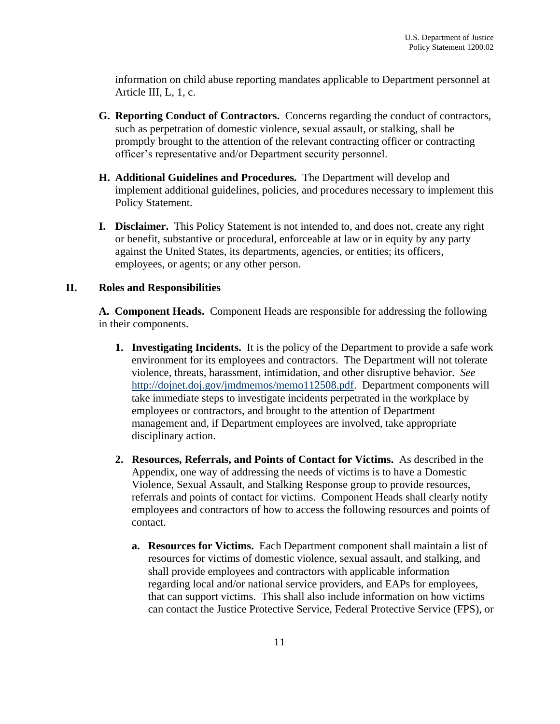Policy Statement 1200.02 information on child abuse reporting mandates applicable to Department personnel at Article III, L, 1, c.

- <span id="page-10-0"></span> **G. Reporting Conduct of Contractors.** Concerns regarding the conduct of contractors, officer's representative and/or Department security personnel. such as perpetration of domestic violence, sexual assault, or stalking, shall be promptly brought to the attention of the relevant contracting officer or contracting
- <span id="page-10-1"></span> **H. Additional Guidelines and Procedures.** The Department will develop and implement additional guidelines, policies, and procedures necessary to implement this Policy Statement.
- <span id="page-10-2"></span> **I. Disclaimer.** This Policy Statement is not intended to, and does not, create any right or benefit, substantive or procedural, enforceable at law or in equity by any party against the United States, its departments, agencies, or entities; its officers, employees, or agents; or any other person.

#### <span id="page-10-4"></span><span id="page-10-3"></span>**II. Roles and Responsibilities**

 **A. Component Heads.** Component Heads are responsible for addressing the following in their components.

- **1. Investigating Incidents.** It is the policy of the Department to provide a safe work violence, threats, harassment, intimidation, and other disruptive behavior. *See* environment for its employees and contractors. The Department will not tolerate [http://dojnet.doj.gov/jmdmemos/memo112508.pdf.](http://dojnet.doj.gov/jmdmemos/memo112508.pdf) Department components will take immediate steps to investigate incidents perpetrated in the workplace by employees or contractors, and brought to the attention of Department management and, if Department employees are involved, take appropriate disciplinary action.
- **2. Resources, Referrals, and Points of Contact for Victims.** As described in the Appendix, one way of addressing the needs of victims is to have a Domestic Violence, Sexual Assault, and Stalking Response group to provide resources, referrals and points of contact for victims. Component Heads shall clearly notify employees and contractors of how to access the following resources and points of contact.
	- **a. Resources for Victims.** Each Department component shall maintain a list of resources for victims of domestic violence, sexual assault, and stalking, and shall provide employees and contractors with applicable information regarding local and/or national service providers, and EAPs for employees, that can support victims. This shall also include information on how victims can contact the Justice Protective Service, Federal Protective Service (FPS), or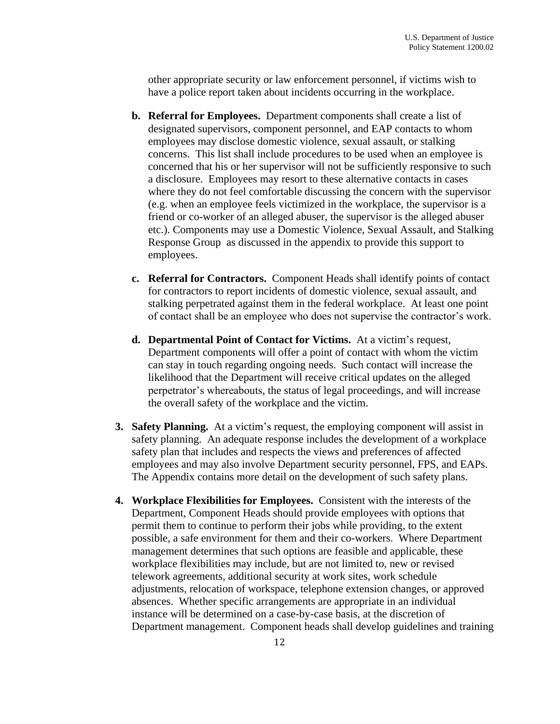other appropriate security or law enforcement personnel, if victims wish to have a police report taken about incidents occurring in the workplace.

- a disclosure. Employees may resort to these alternative contacts in cases friend or co-worker of an alleged abuser, the supervisor is the alleged abuser Response Group as discussed in the appendix to provide this support to **b. Referral for Employees.** Department components shall create a list of designated supervisors, component personnel, and EAP contacts to whom employees may disclose domestic violence, sexual assault, or stalking concerns. This list shall include procedures to be used when an employee is concerned that his or her supervisor will not be sufficiently responsive to such where they do not feel comfortable discussing the concern with the supervisor (e.g. when an employee feels victimized in the workplace, the supervisor is a etc.). Components may use a Domestic Violence, Sexual Assault, and Stalking employees.
- **c. Referral for Contractors.** Component Heads shall identify points of contact for contractors to report incidents of domestic violence, sexual assault, and stalking perpetrated against them in the federal workplace. At least one point of contact shall be an employee who does not supervise the contractor's work.
- **d. Departmental Point of Contact for Victims.** At a victim's request, Department components will offer a point of contact with whom the victim can stay in touch regarding ongoing needs. Such contact will increase the likelihood that the Department will receive critical updates on the alleged perpetrator's whereabouts, the status of legal proceedings, and will increase the overall safety of the workplace and the victim.
- **3. Safety Planning.** At a victim's request, the employing component will assist in safety planning. An adequate response includes the development of a workplace safety plan that includes and respects the views and preferences of affected employees and may also involve Department security personnel, FPS, and EAPs. The Appendix contains more detail on the development of such safety plans.
- **4. Workplace Flexibilities for Employees.** Consistent with the interests of the management determines that such options are feasible and applicable, these absences. Whether specific arrangements are appropriate in an individual Department management. Component heads shall develop guidelines and training Department, Component Heads should provide employees with options that permit them to continue to perform their jobs while providing, to the extent possible, a safe environment for them and their co-workers. Where Department workplace flexibilities may include, but are not limited to, new or revised telework agreements, additional security at work sites, work schedule adjustments, relocation of workspace, telephone extension changes, or approved instance will be determined on a case-by-case basis, at the discretion of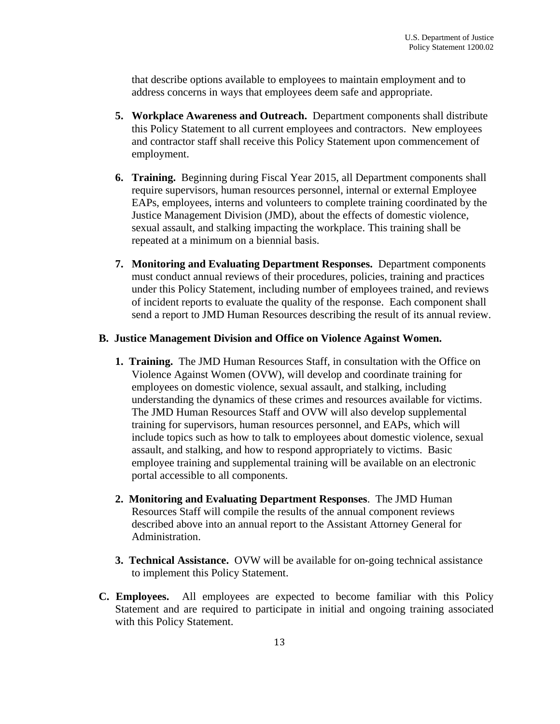address concerns in ways that employees deem safe and appropriate. that describe options available to employees to maintain employment and to

- **5. Workplace Awareness and Outreach.** Department components shall distribute this Policy Statement to all current employees and contractors. New employees and contractor staff shall receive this Policy Statement upon commencement of employment.
- EAPs, employees, interns and volunteers to complete training coordinated by the Justice Management Division (JMD), about the effects of domestic violence, repeated at a minimum on a biennial basis. **6. Training.** Beginning during Fiscal Year 2015, all Department components shall require supervisors, human resources personnel, internal or external Employee sexual assault, and stalking impacting the workplace. This training shall be
- of incident reports to evaluate the quality of the response. Each component shall send a report to JMD Human Resources describing the result of its annual review. **7. Monitoring and Evaluating Department Responses.** Department components must conduct annual reviews of their procedures, policies, training and practices under this Policy Statement, including number of employees trained, and reviews

#### **B. Justice Management Division and Office on Violence Against Women.**

- **1. Training.** The JMD Human Resources Staff, in consultation with the Office on The JMD Human Resources Staff and OVW will also develop supplemental Violence Against Women (OVW), will develop and coordinate training for employees on domestic violence, sexual assault, and stalking, including understanding the dynamics of these crimes and resources available for victims. training for supervisors, human resources personnel, and EAPs, which will include topics such as how to talk to employees about domestic violence, sexual assault, and stalking, and how to respond appropriately to victims. Basic employee training and supplemental training will be available on an electronic portal accessible to all components.
- Resources Staff will compile the results of the annual component reviews **2. Monitoring and Evaluating Department Responses**. The JMD Human described above into an annual report to the Assistant Attorney General for Administration.
- **3. Technical Assistance.** OVW will be available for on-going technical assistance to implement this Policy Statement.
- <span id="page-12-0"></span> **C. Employees.** All employees are expected to become familiar with this Policy with this Policy Statement. Statement and are required to participate in initial and ongoing training associated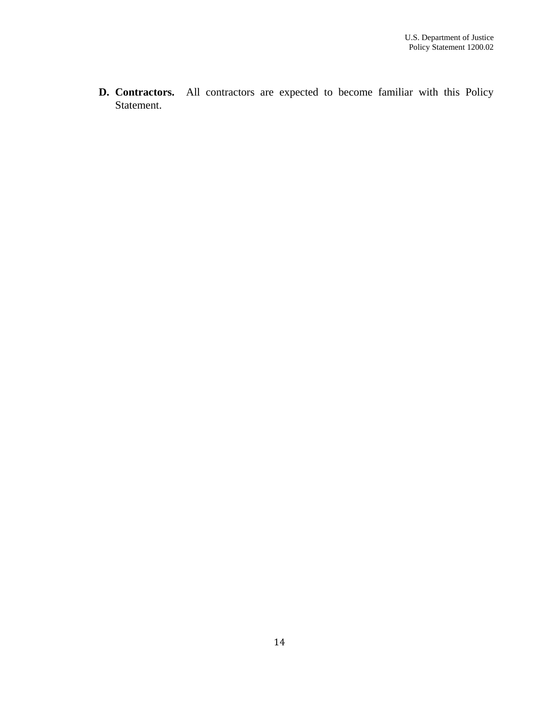**D. Contractors.** All contractors are expected to become familiar with this Policy Statement.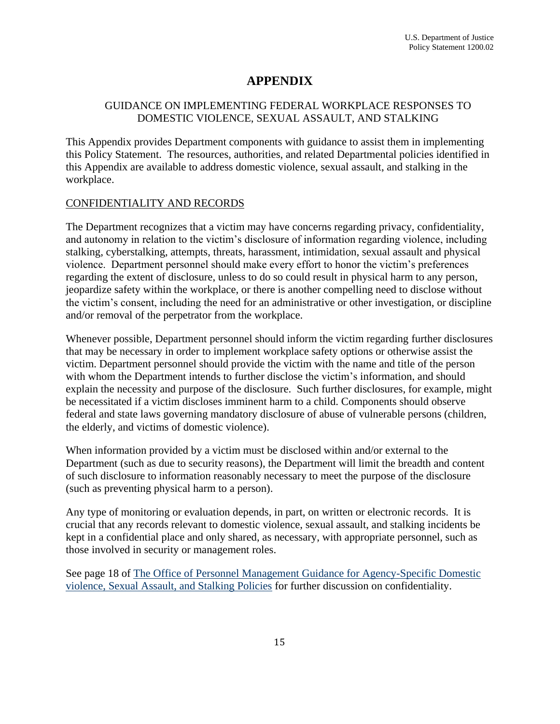### **APPENDIX**

#### <span id="page-14-0"></span>GUIDANCE ON IMPLEMENTING FEDERAL WORKPLACE RESPONSES TO DOMESTIC VIOLENCE, SEXUAL ASSAULT, AND STALKING

This Appendix provides Department components with guidance to assist them in implementing this Policy Statement. The resources, authorities, and related Departmental policies identified in this Appendix are available to address domestic violence, sexual assault, and stalking in the workplace.

#### CONFIDENTIALITY AND RECORDS

 The Department recognizes that a victim may have concerns regarding privacy, confidentiality,  and/or removal of the perpetrator from the workplace. and autonomy in relation to the victim's disclosure of information regarding violence, including stalking, cyberstalking, attempts, threats, harassment, intimidation, sexual assault and physical violence. Department personnel should make every effort to honor the victim's preferences regarding the extent of disclosure, unless to do so could result in physical harm to any person, jeopardize safety within the workplace, or there is another compelling need to disclose without the victim's consent, including the need for an administrative or other investigation, or discipline

 that may be necessary in order to implement workplace safety options or otherwise assist the with whom the Department intends to further disclose the victim's information, and should explain the necessity and purpose of the disclosure. Such further disclosures, for example, might Whenever possible, Department personnel should inform the victim regarding further disclosures victim. Department personnel should provide the victim with the name and title of the person be necessitated if a victim discloses imminent harm to a child. Components should observe federal and state laws governing mandatory disclosure of abuse of vulnerable persons (children, the elderly, and victims of domestic violence).

 When information provided by a victim must be disclosed within and/or external to the Department (such as due to security reasons), the Department will limit the breadth and content of such disclosure to information reasonably necessary to meet the purpose of the disclosure (such as preventing physical harm to a person).

 Any type of monitoring or evaluation depends, in part, on written or electronic records. It is crucial that any records relevant to domestic violence, sexual assault, and stalking incidents be kept in a confidential place and only shared, as necessary, with appropriate personnel, such as those involved in security or management roles.

See page 18 of [The Office of Personnel Management Guidance for Agency-Specific Domestic](http://www.opm.gov/policy-data-oversight/worklife/reference-materials/guidance-for-agency-specific-dvsas-policies.pdf)  [violence, Sexual Assault, and Stalking Policies](http://www.opm.gov/policy-data-oversight/worklife/reference-materials/guidance-for-agency-specific-dvsas-policies.pdf) for further discussion on confidentiality.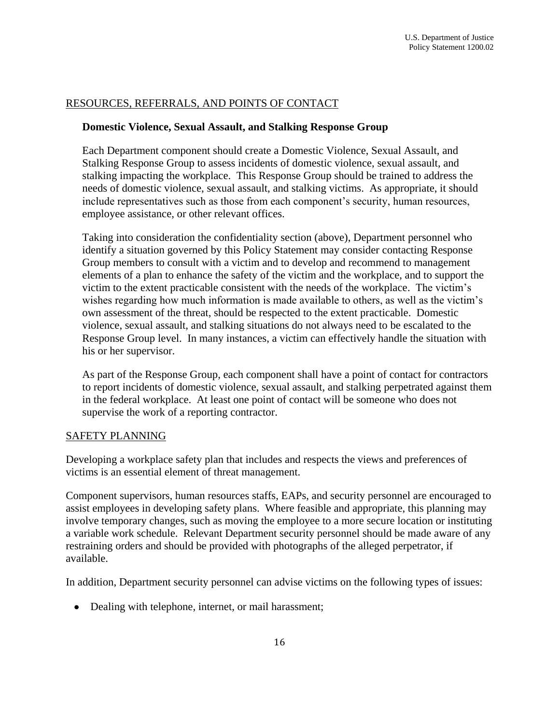## **RESOURCES, REFERRALS, AND POINTS OF CONTACT** Policy Statement 1200.02<br>RESOURCES, REFERRALS, AND POINTS OF CONTACT

#### **Domestic Violence, Sexual Assault, and Stalking Response Group**

 Each Department component should create a Domestic Violence, Sexual Assault, and stalking impacting the workplace. This Response Group should be trained to address the employee assistance, or other relevant offices. Stalking Response Group to assess incidents of domestic violence, sexual assault, and needs of domestic violence, sexual assault, and stalking victims. As appropriate, it should include representatives such as those from each component's security, human resources,

 elements of a plan to enhance the safety of the victim and the workplace, and to support the victim to the extent practicable consistent with the needs of the workplace. The victim's own assessment of the threat, should be respected to the extent practicable. Domestic Taking into consideration the confidentiality section (above), Department personnel who identify a situation governed by this Policy Statement may consider contacting Response Group members to consult with a victim and to develop and recommend to management wishes regarding how much information is made available to others, as well as the victim's violence, sexual assault, and stalking situations do not always need to be escalated to the Response Group level. In many instances, a victim can effectively handle the situation with his or her supervisor.

 As part of the Response Group, each component shall have a point of contact for contractors supervise the work of a reporting contractor.<br>SAFETY PLANNING to report incidents of domestic violence, sexual assault, and stalking perpetrated against them in the federal workplace. At least one point of contact will be someone who does not

Developing a workplace safety plan that includes and respects the views and preferences of victims is an essential element of threat management.

Component supervisors, human resources staffs, EAPs, and security personnel are encouraged to assist employees in developing safety plans. Where feasible and appropriate, this planning may involve temporary changes, such as moving the employee to a more secure location or instituting a variable work schedule. Relevant Department security personnel should be made aware of any restraining orders and should be provided with photographs of the alleged perpetrator, if available.

In addition, Department security personnel can advise victims on the following types of issues:

• Dealing with telephone, internet, or mail harassment;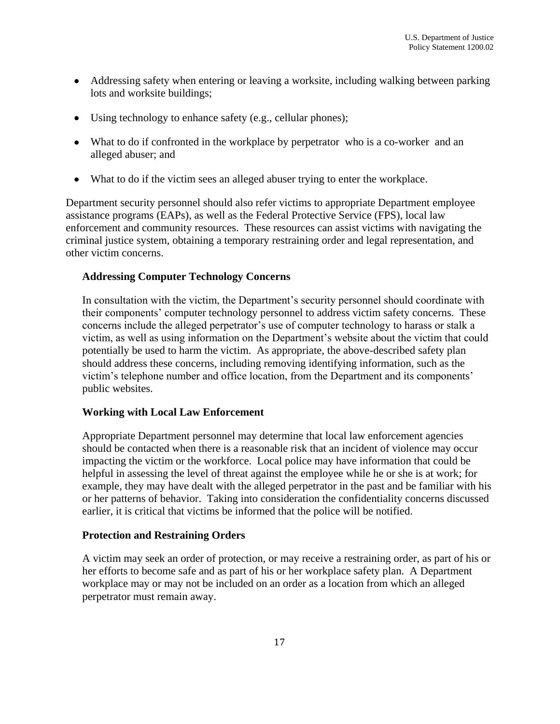- Addressing safety when entering or leaving a worksite, including walking between parking lots and worksite buildings;
- Using technology to enhance safety (e.g., cellular phones);
- What to do if confronted in the workplace by perpetrator who is a co-worker and an alleged abuser; and
- What to do if the victim sees an alleged abuser trying to enter the workplace.

 other victim concerns. Department security personnel should also refer victims to appropriate Department employee assistance programs (EAPs), as well as the Federal Protective Service (FPS), local law enforcement and community resources. These resources can assist victims with navigating the criminal justice system, obtaining a temporary restraining order and legal representation, and

#### **Addressing Computer Technology Concerns**

 concerns include the alleged perpetrator's use of computer technology to harass or stalk a In consultation with the victim, the Department's security personnel should coordinate with their components' computer technology personnel to address victim safety concerns. These victim, as well as using information on the Department's website about the victim that could potentially be used to harm the victim. As appropriate, the above-described safety plan should address these concerns, including removing identifying information, such as the victim's telephone number and office location, from the Department and its components' public websites.

#### **Working with Local Law Enforcement**

 should be contacted when there is a reasonable risk that an incident of violence may occur Appropriate Department personnel may determine that local law enforcement agencies impacting the victim or the workforce. Local police may have information that could be helpful in assessing the level of threat against the employee while he or she is at work; for example, they may have dealt with the alleged perpetrator in the past and be familiar with his or her patterns of behavior. Taking into consideration the confidentiality concerns discussed earlier, it is critical that victims be informed that the police will be notified.

#### **Protection and Restraining Orders**

A victim may seek an order of protection, or may receive a restraining order, as part of his or her efforts to become safe and as part of his or her workplace safety plan. A Department workplace may or may not be included on an order as a location from which an alleged perpetrator must remain away.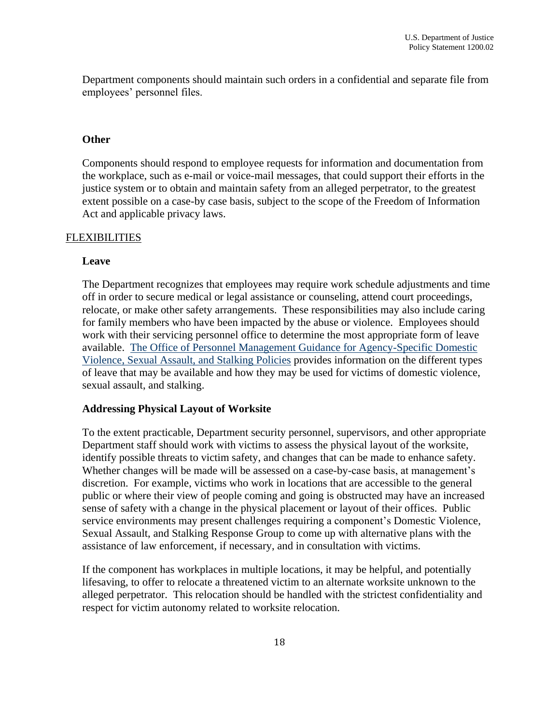Department components should maintain such orders in a confidential and separate file from employees' personnel files.

#### **Other**

Components should respond to employee requests for information and documentation from the workplace, such as e-mail or voice-mail messages, that could support their efforts in the justice system or to obtain and maintain safety from an alleged perpetrator, to the greatest extent possible on a case-by case basis, subject to the scope of the Freedom of Information Act and applicable privacy laws.

#### **FLEXIBILITIES**

#### **Leave**

The Department recognizes that employees may require work schedule adjustments and time off in order to secure medical or legal assistance or counseling, attend court proceedings, relocate, or make other safety arrangements. These responsibilities may also include caring for family members who have been impacted by the abuse or violence. Employees should work with their servicing personnel office to determine the most appropriate form of leave available. [The Office of Personnel Management Guidance for Agency-Specific Domestic](http://www.opm.gov/policy-data-oversight/worklife/reference-materials/guidance-for-agency-specific-dvsas-policies.pdf)  [Violence, Sexual Assault, and Stalking Policies](http://www.opm.gov/policy-data-oversight/worklife/reference-materials/guidance-for-agency-specific-dvsas-policies.pdf) provides information on the different types of leave that may be available and how they may be used for victims of domestic violence, sexual assault, and stalking.

#### **Addressing Physical Layout of Worksite**

 discretion. For example, victims who work in locations that are accessible to the general Sexual Assault, and Stalking Response Group to come up with alternative plans with the To the extent practicable, Department security personnel, supervisors, and other appropriate Department staff should work with victims to assess the physical layout of the worksite, identify possible threats to victim safety, and changes that can be made to enhance safety. Whether changes will be made will be assessed on a case-by-case basis, at management's public or where their view of people coming and going is obstructed may have an increased sense of safety with a change in the physical placement or layout of their offices. Public service environments may present challenges requiring a component's Domestic Violence, assistance of law enforcement, if necessary, and in consultation with victims.

 alleged perpetrator. This relocation should be handled with the strictest confidentiality and respect for victim autonomy related to worksite relocation. If the component has workplaces in multiple locations, it may be helpful, and potentially lifesaving, to offer to relocate a threatened victim to an alternate worksite unknown to the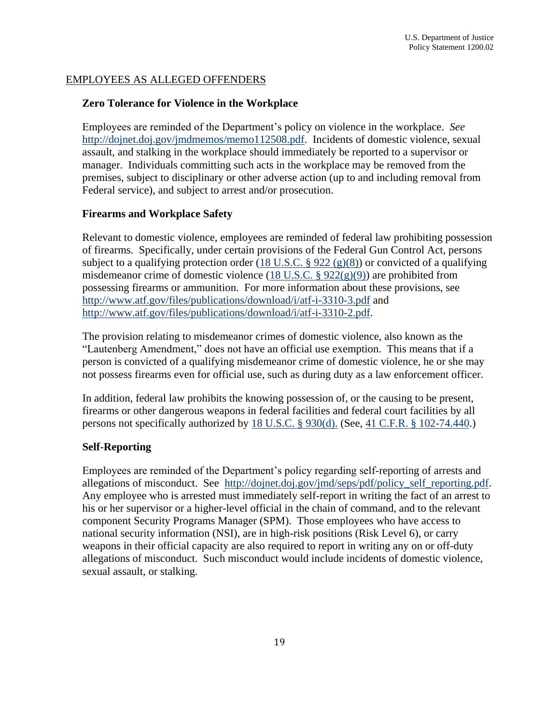#### EMPLOYEES AS ALLEGED OFFENDERS

#### **Zero Tolerance for Violence in the Workplace**

[http://dojnet.doj.gov/jmdmemos/memo112508.pdf.](http://dojnet.doj.gov/jmdmemos/memo112508.pdf) Incidents of domestic violence, sexual Employees are reminded of the Department's policy on violence in the workplace. *See*  assault, and stalking in the workplace should immediately be reported to a supervisor or manager. Individuals committing such acts in the workplace may be removed from the premises, subject to disciplinary or other adverse action (up to and including removal from Federal service), and subject to arrest and/or prosecution.

#### **Firearms and Workplace Safety**

Relevant to domestic violence, employees are reminded of federal law prohibiting possession of firearms. Specifically, under certain provisions of the Federal Gun Control Act, persons subject to a qualifying protection order (18 U.S.C.  $\S 922 \text{ (g)}(8)$ ) or convicted of a qualifying misdemeanor crime of domestic violence  $(18 \text{ U.S.C. } § 922(g)(9))$  are prohibited from possessing firearms or ammunition. For more information about these provisions, see <http://www.atf.gov/files/publications/download/i/atf-i-3310-3.pdf>and [http://www.atf.gov/files/publications/download/i/atf-i-3310-2.pdf.](http://www.atf.gov/files/publications/download/i/atf-i-3310-2.pdf)

The provision relating to misdemeanor crimes of domestic violence, also known as the "Lautenberg Amendment," does not have an official use exemption. This means that if a person is convicted of a qualifying misdemeanor crime of domestic violence, he or she may not possess firearms even for official use, such as during duty as a law enforcement officer.

In addition, federal law prohibits the knowing possession of, or the causing to be present, firearms or other dangerous weapons in federal facilities and federal court facilities by all persons not specifically authorized by [18 U.S.C. § 930\(d\).](http://www.law.cornell.edu/uscode/text/18/930) (See, [41 C.F.R. § 102-74.440.](http://www.law.cornell.edu/cfr/text/41/102-74.440))

#### **Self-Reporting**

allegations of misconduct. See [http://dojnet.doj.gov/jmd/seps/pdf/policy\\_self\\_reporting.pdf.](http://dojnet.doj.gov/jmd/seps/pdf/policy_self_reporting.pdf) Employees are reminded of the Department's policy regarding self-reporting of arrests and Any employee who is arrested must immediately self-report in writing the fact of an arrest to his or her supervisor or a higher-level official in the chain of command, and to the relevant component Security Programs Manager (SPM). Those employees who have access to national security information (NSI), are in high-risk positions (Risk Level 6), or carry weapons in their official capacity are also required to report in writing any on or off-duty allegations of misconduct. Such misconduct would include incidents of domestic violence, sexual assault, or stalking.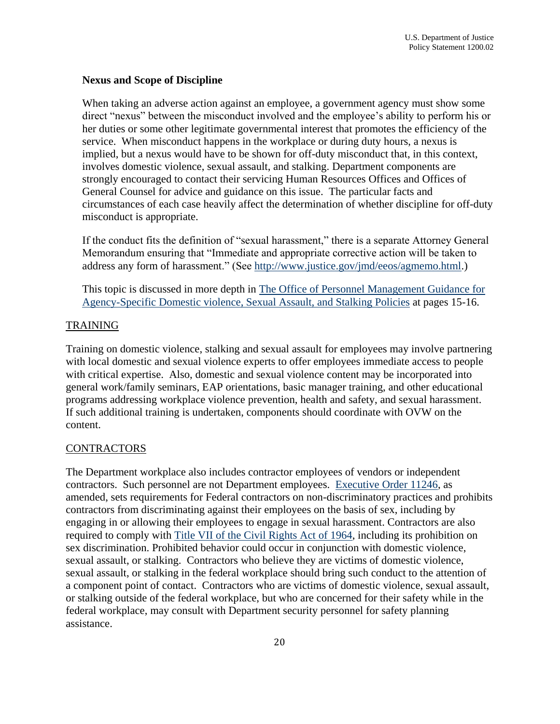#### **Nexus and Scope of Discipline**

 her duties or some other legitimate governmental interest that promotes the efficiency of the General Counsel for advice and guidance on this issue. The particular facts and When taking an adverse action against an employee, a government agency must show some direct "nexus" between the misconduct involved and the employee's ability to perform his or service. When misconduct happens in the workplace or during duty hours, a nexus is implied, but a nexus would have to be shown for off-duty misconduct that, in this context, involves domestic violence, sexual assault, and stalking. Department components are strongly encouraged to contact their servicing Human Resources Offices and Offices of circumstances of each case heavily affect the determination of whether discipline for off-duty misconduct is appropriate.

If the conduct fits the definition of "sexual harassment," there is a separate Attorney General Memorandum ensuring that "Immediate and appropriate corrective action will be taken to

address any form of harassment." (See [http://www.justice.gov/jmd/eeos/agmemo.html.](http://www.justice.gov/jmd/eeos/agmemo.html))<br>This topic is discussed in more depth in <u>The Office of Personnel Management Guidance for</u> [Agency-Specific Domestic violence, Sexual Assault, and Stalking Policies](http://www.opm.gov/policy-data-oversight/worklife/reference-materials/guidance-for-agency-specific-dvsas-policies.pdf) at pages 15-16.

#### TRAINING

programs addressing workplace violence prevention, health and safety, and sexual harassment. programs addressing workplace violence prevention, health and safety, and sexual harassment. If such additional training is undertaken, components should coordinate with OVW on the Training on domestic violence, stalking and sexual assault for employees may involve partnering with local domestic and sexual violence experts to offer employees immediate access to people with critical expertise. Also, domestic and sexual violence content may be incorporated into general work/family seminars, EAP orientations, basic manager training, and other educational content.

#### **CONTRACTORS**

 engaging in or allowing their employees to engage in sexual harassment. Contractors are also sexual assault, or stalking. Contractors who believe they are victims of domestic violence, The Department workplace also includes contractor employees of vendors or independent contractors. Such personnel are not Department employees. [Executive Order 11246,](http://www.dol.gov/ofccp/regs/statutes/eo11246.htm) as amended, sets requirements for Federal contractors on non-discriminatory practices and prohibits contractors from discriminating against their employees on the basis of sex, including by required to comply with [Title VII of the Civil Rights Act of 1964,](http://www.eeoc.gov/laws/statutes/titlevii.cfm) including its prohibition on sex discrimination. Prohibited behavior could occur in conjunction with domestic violence, sexual assault, or stalking in the federal workplace should bring such conduct to the attention of a component point of contact. Contractors who are victims of domestic violence, sexual assault, or stalking outside of the federal workplace, but who are concerned for their safety while in the federal workplace, may consult with Department security personnel for safety planning assistance.